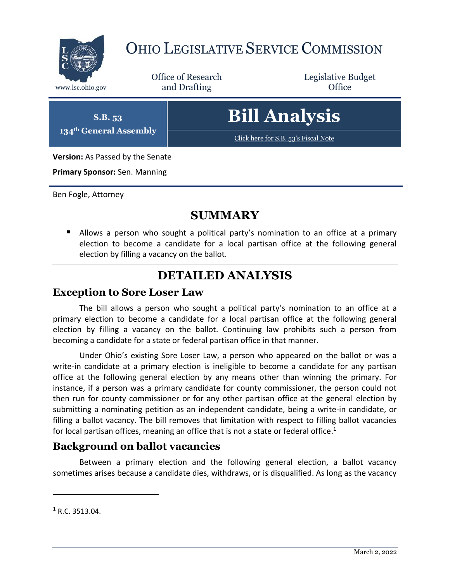

# OHIO LEGISLATIVE SERVICE COMMISSION

Office of Research www.lsc.ohio.gov **and Drafting Office** 

Legislative Budget

**S.B. 53 134th General Assembly** **Bill Analysis**

[Click here for S.B. 53](https://www.legislature.ohio.gov/legislation/legislation-documents?id=GA134-SB-53)'s Fiscal Note

**Version:** As Passed by the Senate

**Primary Sponsor:** Sen. Manning

Ben Fogle, Attorney

### **SUMMARY**

 Allows a person who sought a political party's nomination to an office at a primary election to become a candidate for a local partisan office at the following general election by filling a vacancy on the ballot.

## **DETAILED ANALYSIS**

#### **Exception to Sore Loser Law**

The bill allows a person who sought a political party's nomination to an office at a primary election to become a candidate for a local partisan office at the following general election by filling a vacancy on the ballot. Continuing law prohibits such a person from becoming a candidate for a state or federal partisan office in that manner.

Under Ohio's existing Sore Loser Law, a person who appeared on the ballot or was a write-in candidate at a primary election is ineligible to become a candidate for any partisan office at the following general election by any means other than winning the primary. For instance, if a person was a primary candidate for county commissioner, the person could not then run for county commissioner or for any other partisan office at the general election by submitting a nominating petition as an independent candidate, being a write-in candidate, or filling a ballot vacancy. The bill removes that limitation with respect to filling ballot vacancies for local partisan offices, meaning an office that is not a state or federal office.<sup>1</sup>

#### **Background on ballot vacancies**

Between a primary election and the following general election, a ballot vacancy sometimes arises because a candidate dies, withdraws, or is disqualified. As long as the vacancy

 $\overline{a}$ 

 $1 R.C. 3513.04.$